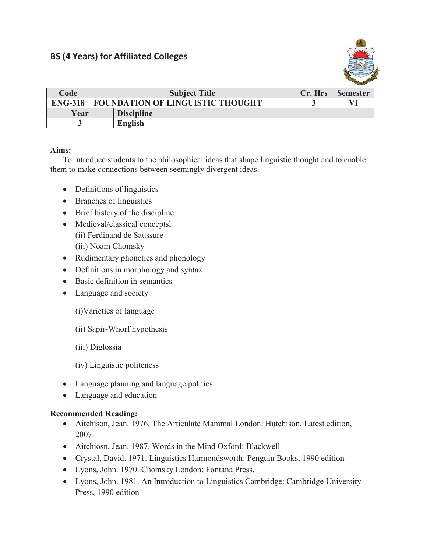

| Code           | <b>Subject Title</b>                    |                   | Cr. Hrs | <b>Semester</b> |
|----------------|-----------------------------------------|-------------------|---------|-----------------|
| <b>ENG-318</b> | <b>FOUNDATION OF LINGUISTIC THOUGHT</b> |                   |         |                 |
| Year           |                                         | <b>Discipline</b> |         |                 |
|                |                                         | English           |         |                 |

## **Aims:**

To introduce students to the philosophical ideas that shape linguistic thought and to enable them to make connections between seemingly divergent ideas.

- $\bullet$  Definitions of linguistics
- Branches of linguistics
- $\bullet$  Brief history of the discipline
- Medieval/classical conceptsl (ii) Ferdinand de Saussure (iii) Noam Chomsky
- Rudimentary phonetics and phonology
- Definitions in morphology and syntax
- $\bullet$  Basic definition in semantics
- Language and society
	- (i)Varieties of language
	- (ii) Sapir-Whorf hypothesis
	- (iii) Diglossia
	- (iv) Linguistic politeness
- Language planning and language politics
- Language and education

## **Recommended Reading:**

- Aitchison, Jean. 1976. The Articulate Mammal London: Hutchison. Latest edition, 2007.
- Aitchiosn, Jean. 1987. Words in the Mind Oxford: Blackwell
- Crystal, David. 1971. Linguistics Harmondsworth: Penguin Books, 1990 edition
- Lyons, John. 1970. Chomsky London: Fontana Press.
- Lyons, John. 1981. An Introduction to Linguistics Cambridge: Cambridge University Press, 1990 edition